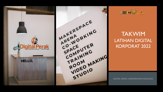

MAKERSPACE MAKERSPACKING ARLWU COMPUTER CO-CE SPACTAING TRAINING<br>TRAINING<br>TRAINING TRAIM<br>ROOM VIDEO IO



#### TAKWIM LATIHAN DIGITAL KORPORAT 2022

**DIGITAL PERAK CORPORATION HOLDINGS**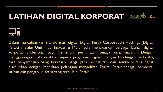#### LATIHAN DIGITAL KORPORAT OBRIGA





Dalam merealisasikan transformasi digital, Digital Perak Corporation Hodlings (Digital Perak) melalui Unit Hub Inovasi & Multimedia menawarkan pelbagai latihan digital korporat profesional bagi memenuhi permintaan tenaga kerja mahir. Dengan menggabungkan faktor-faktor seperti program-program dengan kandungan berkualiti, cara penyampaian yang berkesan, harga yang berpatutan dan semua kursus dapat disesuaikan dengan keperluan pelanggan menjadikan Digital Perak sebagai pembekal latihan dan penganjur acara yang terpilih di Perak.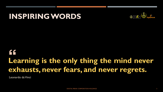#### **INSPIRING WORDS**



#### " **Learning is the only thing the mind never exhausts, never fears, and never regrets.**

Leonardo da Vinci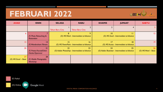#### **FEBRUARI 2022**



| <b>AHAD</b>                  | <b>ISNIN</b>                                      | <b>SELASA</b>          | <b>RABU</b>                                         | <b>KHAMIS</b> | <b>JUMAAT</b>                                          | <b>SABTU</b>                     |
|------------------------------|---------------------------------------------------|------------------------|-----------------------------------------------------|---------------|--------------------------------------------------------|----------------------------------|
|                              |                                                   | <b>Tahun Baru Cina</b> | <b>Tahun Baru Cina</b>                              |               |                                                        | 5.                               |
| 6                            | (F) Photo Retouching &<br><b>Restoration</b>      |                        | 9<br>(O) MS Word - Intermediate to Advance          | 0             | $\mathbf{1}$<br>(O) MS Excel - Intermediate to Advance | $ 2\rangle$                      |
| 3                            | 4<br>(F) Wondershare Filmora                      | 15                     | 16<br>(O) MS PowerPoint - Intermediate to Advance   | 17            | 8 <br>(O) MS Access - Intermediate to Advance          | $ 9\rangle$                      |
| 20                           | 21<br>(F) Protect Yourself from<br>Hacker/Spammer | 22                     | 23<br>(O) Adobe Photoshop - Intermediate to Advance | 24            | 25<br>(O) Adobe Illustrator - Intermediate to Advance  | <b>26</b><br>(O) MS Word - Basic |
| 27<br>(O) MS Excel $-$ Basic | 28<br>(F) Mobile Photography<br>Workshop          |                        |                                                     |               |                                                        |                                  |

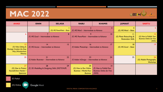#### **MAC 2022**



| <b>AHAD</b>                                                                                   | <b>ISNIN</b>                                                | <b>SELASA</b>               | <b>RABU</b>                                                                     | <b>KHAMIS</b>                                                             | <b>JUMAAT</b>                                       | <b>SABTU</b>                                                               |
|-----------------------------------------------------------------------------------------------|-------------------------------------------------------------|-----------------------------|---------------------------------------------------------------------------------|---------------------------------------------------------------------------|-----------------------------------------------------|----------------------------------------------------------------------------|
|                                                                                               |                                                             | (O) MS PowerPoint $-$ Basic | (F) MS Word – Intermediate to Advance                                           | 3                                                                         | (O) MS Word – Basic                                 |                                                                            |
| 6                                                                                             | (F) MS Excel – Intermediate to Advance                      | 8                           | (F) MS PowerPoint - Intermediate to Advance                                     | 10                                                                        | (O) Photo Retouching &<br><b>Restoration Skills</b> | 12.<br>(O) How to Publish Your<br><b>Business Online for Free</b><br>(WIX) |
| 13<br>(O) Video Editing &<br><b>Montage Creation the Easy</b><br>Way (Wondershare<br>Filmora) | 15<br> 4<br>(F) MS Access - Intermediate to Advance         |                             | 17<br>16<br>(F) Adobe Photoshop – Intermediate to Advance                       |                                                                           | 18<br>(O) MS Excel - Basic                          | $ 9\rangle$                                                                |
| 20                                                                                            | 22<br>21<br>(F) Adobe Illustrator - Intermediate to Advance |                             | 23<br>24<br>(F) Adobe InDesign - Intermediate to Advance                        |                                                                           | 25                                                  | 26<br>(O) Mobile Photography<br><b>Workshop</b>                            |
| 27<br>(O) How to Protect<br>Yourself from Hacker /<br><b>Spammer</b>                          | 28<br>(F) 3D Modelling & Designing Skills (SKETCHUP)        | 29                          | 30<br>(O) How to Run Online<br><b>Business / Market Your</b><br><b>Business</b> | 31<br>(F) How to Publish Your<br><b>Business Online for Free</b><br>(WIX) |                                                     |                                                                            |

(F) Fizikal

(O) Online

**Google Meet**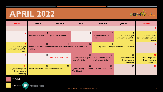#### **APRIL 2022**



| <b>AHAD</b>                                                                              | <b>ISNIN</b>                                                                                          | <b>SELASA</b>                      | <b>RABU</b>                                               | <b>KHAMIS</b>                                               | <b>JUMAAT</b>                                                         | <b>SABTU</b>                                                          |
|------------------------------------------------------------------------------------------|-------------------------------------------------------------------------------------------------------|------------------------------------|-----------------------------------------------------------|-------------------------------------------------------------|-----------------------------------------------------------------------|-----------------------------------------------------------------------|
|                                                                                          |                                                                                                       |                                    |                                                           |                                                             |                                                                       |                                                                       |
| 3                                                                                        | 4<br>$(F)$ MS Word – Basic                                                                            | $(F)$ MS Excel – Basic             | 6                                                         | $(F)$ MS PowerPoint –<br><b>Basic</b>                       | (O) Basic English<br><b>Communication Skills for</b><br><b>Adults</b> | (O) Basic English<br><b>Communication Skills for</b><br><b>Adults</b> |
| $\overline{10}$<br>(O) Basic English<br><b>Communication Skills for</b><br><b>Adults</b> | П<br> 2<br> 3<br>(F) Advanced Multimedia Presentation Skills (MS PowerPoint & Wondershare<br>Filmora) |                                    |                                                           | 4<br>15<br>(O) Adobe InDesign - Intermediate to Advance     |                                                                       | 16                                                                    |
| 17                                                                                       | 18                                                                                                    | $ 9\rangle$<br>Hari Nuzul Al-Quran | 20<br>(F) Photo Retouching &<br><b>Restoration Skills</b> | 21<br>(F) Software Technical<br><b>Maintenance Skills</b>   | 22<br>(O) Web Design with<br>Dreamweaver &<br>Photoshop               | 23<br>(O) Web Design with<br>Dreamweaver &<br>Photoshop               |
| 24<br>(O) Web Design with<br>Dreamweaver &<br>Photoshop                                  | 25<br>$(F)$ MS PowerPoint – Intermediate to Advance                                                   | 26                                 | 27<br>After Effects)                                      | 28<br>(F) Video Editing & Creation Skills with Adobe (Adobe | 29                                                                    | 30                                                                    |

(F) Fizikal

(O) Online

**Google Meet**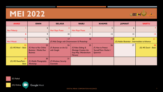#### **MEI 2022**



| <b>AHAD</b>                                 | <b>ISNIN</b>                                                                    | <b>SELASA</b>                                   | <b>RABU</b>                                                                                          | <b>KHAMIS</b>                                                 | <b>JUMAAT</b> | <b>SABTU</b>                                                |  |  |
|---------------------------------------------|---------------------------------------------------------------------------------|-------------------------------------------------|------------------------------------------------------------------------------------------------------|---------------------------------------------------------------|---------------|-------------------------------------------------------------|--|--|
| Hari Pekerja                                | $\overline{2}$                                                                  | Hari Raya Puasa                                 | Hari Raya Puasa                                                                                      |                                                               | 6             |                                                             |  |  |
| 8                                           | 9                                                                               | $\overline{10}$                                 |                                                                                                      | 2                                                             | 3             | 4                                                           |  |  |
| 15<br><b>Hari Wesak</b>                     | 16                                                                              | 17                                              | $ 9\rangle$<br> 8<br>(F) Web Design with Dreamweaver & Photoshop                                     |                                                               |               | 20<br>21<br>(O) Adobe Illustrator - Intermediate to Advance |  |  |
| 22<br>(O) MS Word - Basic                   | 23<br>(F) How to Run Online<br><b>Business / Market Your</b><br><b>Business</b> | 24<br>(F) Business on the Go<br>with Google     | 25<br>(F) Video Editing &<br><b>Montage Creation the</b><br><b>Easy Way (Wondershare</b><br>Filmora) | 26<br>(F) How to Protect<br>Yourself from Hacker /<br>Spammer | 27            | 28<br>(O) MS Excel - Basic                                  |  |  |
| 29<br>(O) MS PowerPoint $-$<br><b>Basic</b> | 30<br>(F) Mobile Photography<br>Workshop                                        | 31<br>(F) Windows Security<br><b>Essentials</b> |                                                                                                      |                                                               |               |                                                             |  |  |

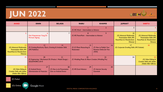## **JUN 2022**



| <b>AHAD</b>                                                                                                        | <b>ISNIN</b>                                                                               | <b>SELASA</b>                                              | <b>RABU</b>                                            | <b>KHAMIS</b>                                                             | <b>JUMAAT</b>                                                                                                      | <b>SABTU</b>                                                                                                 |
|--------------------------------------------------------------------------------------------------------------------|--------------------------------------------------------------------------------------------|------------------------------------------------------------|--------------------------------------------------------|---------------------------------------------------------------------------|--------------------------------------------------------------------------------------------------------------------|--------------------------------------------------------------------------------------------------------------|
|                                                                                                                    |                                                                                            |                                                            | (F) MS Word - Intermediate to Advance                  |                                                                           |                                                                                                                    |                                                                                                              |
|                                                                                                                    | Hari Keputeraan Yang Di-<br>Pertuan Agong                                                  |                                                            | (F) MS PowerPoint - Intermediate to Advance            | 9                                                                         | 10<br>(O) Advanced Multimedia<br><b>Presentation Skills (MS</b><br><b>PowerPoint &amp; Wondershare</b><br>Filmora) | (O) Advanced Multimedia<br><b>Presentation Skills (MS</b><br><b>PowerPoint &amp; Wondershare</b><br>Filmora) |
| 12<br>(O) Advanced Multimedia<br><b>Presentation Skills (MS</b><br><b>PowerPoint &amp; Wondershare</b><br>Filmora) | 13<br>(F) Creating Brochures, Flyers, Greeting & Invitation Skills<br>(MS Publisher)       | 4                                                          | 15<br>(F) (F) Photo Retouching &<br><b>Restoration</b> | 16<br>(F) How to Publish Your<br><b>Business Online for Free</b><br>(WIX) | 17<br>(O) Corporate Emailing Skills (MS Outlook)                                                                   | 8                                                                                                            |
| 9                                                                                                                  | 20<br>(F) Engineering / Mechanical 3D (Product / Model Design) -<br><b>SOLIDWORKS 2010</b> | 21                                                         | 22<br>(F) Wedding Photo & Album Creation (Wedding Pro) | 23                                                                        | 24                                                                                                                 | 25<br>(O) Video Editing &<br><b>Creation Skills with Adobe</b><br>(Adobe After Effects)                      |
| 26<br>(O) Video Editing &<br><b>Creation Skills with Adobe</b><br>(Adobe After Effects)                            | 27<br>(F) Android Device<br><b>Administration &amp; Protection</b>                         | 28<br>(F) How to do Presentation<br>from an Android Device | 29<br>(F) MS Excel Advance                             | 30<br>(F) Internet Security<br><b>Essentials</b>                          |                                                                                                                    |                                                                                                              |

(F) Fizikal

(O) Online**Google Meet**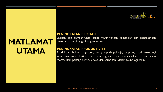

#### **MATLAMAT UTAMA**

#### **PENINGKATAN PRESTASI**

Latihan dan pembangunan dapat meningkatkan kemahiran dan pengetahuan pekerja dalam bidang-bidang tertentu.

#### **PENINGKATAN PRODUKTIVITI**

Produktiviti bukan hanya bergantung kepada pekerja, tetapi juga pada teknologi yang digunakan. Latihan dan pembangunan dapat melancarkan proses dalam memastikan pekerja sentiasa peka dan serba tahu dalam teknologi tekini.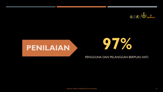



# **97%**

#### PENGGUNA DAN PELANGGAN BERPUAS HATI.

DIGITAL PERAK CORPORATION HOLDINGS 10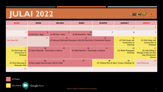

#### **JULAI 2022**

| <b>AHAD</b>                                               | <b>ISNIN</b>                                            | <b>SELASA</b>          | <b>RABU</b>                                                                                  | <b>KHAMIS</b> | <b>JUMAAT</b>                                          | <b>SABTU</b>                                                                                  |
|-----------------------------------------------------------|---------------------------------------------------------|------------------------|----------------------------------------------------------------------------------------------|---------------|--------------------------------------------------------|-----------------------------------------------------------------------------------------------|
|                                                           |                                                         |                        |                                                                                              |               |                                                        |                                                                                               |
| $\overline{\mathbf{3}}$                                   | 4<br>$(F)$ MS Word – Basic                              | $(F)$ MS Excel – Basic | $(F)$ MS PowerPoint - Basic                                                                  |               |                                                        |                                                                                               |
| 10<br>Hari Raya Haji                                      | П                                                       | 12                     | 4<br>13<br>(F) Advanced Multimedia Presentation Skills (MS PowerPoint & Wondershare Filmora) |               |                                                        | 16<br>(O) Web Design with<br>Dreamweaver &<br>Photoshop                                       |
| 17<br>(O) Web Design with<br>Dreamweaver &<br>Photoshop   | 8<br>(F) Adobe Photoshop - Intermediate to Advance      | 9                      | 20<br>(F) Adobe Illustrator - Intermediate to Advance                                        | 21            | 22<br>(O) Mobile Photography<br>Workshop               | 23<br>(O) Video Editing &<br><b>Montage Creation the Easy</b><br>Way (Wondershare<br>Filmora) |
| 24<br>(O) Photo Retouching &<br><b>Restoration Skills</b> | 25<br>(F) Basic English Communication Skills for Adults | 26                     | 27                                                                                           | 28            | 29<br>(O) Wedding Photo & Album Creation (Wedding Pro) | 30<br><b>Awal Muharram</b>                                                                    |
| 31                                                        |                                                         |                        |                                                                                              |               |                                                        |                                                                                               |

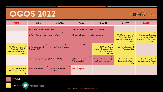#### **OGOS 2022**



| <b>AHAD</b>                                                                                                        | <b>ISNIN</b>                                               | <b>SELASA</b>                                   | <b>RABU</b>                                               | <b>KHAMIS</b>                                                                                | <b>JUMAAT</b>                                                                                                      | <b>SABTU</b>                                                                                                 |
|--------------------------------------------------------------------------------------------------------------------|------------------------------------------------------------|-------------------------------------------------|-----------------------------------------------------------|----------------------------------------------------------------------------------------------|--------------------------------------------------------------------------------------------------------------------|--------------------------------------------------------------------------------------------------------------|
|                                                                                                                    | (F) MS Access - Intermediate to Advance                    |                                                 |                                                           | (F) Adobe Photoshop - Intermediate to Advance                                                |                                                                                                                    |                                                                                                              |
| $\overline{7}$                                                                                                     | (F) Adobe Illustrator - Intermediate to Advance            | 9                                               | П<br>10<br>(F) Adobe InDesign - Intermediate to Advance   |                                                                                              | 12<br>(O) Advanced Multimedia<br><b>Presentation Skills (MS</b><br><b>PowerPoint &amp; Wondershare</b><br>Filmora) | (O) Advanced Multimedia<br><b>Presentation Skills (MS</b><br><b>PowerPoint &amp; Wondershare</b><br>Filmora) |
| 14<br>(O) Advanced Multimedia<br><b>Presentation Skills (MS</b><br><b>PowerPoint &amp; Wondershare</b><br>Filmora) | 15<br>(F) Photo Retouching &<br><b>Restoration Skills</b>  | 16<br>(F) Mobile Apps Development               | 17                                                        | 8<br>(O) Video Editing &<br><b>Montage Creation the Easy</b><br>Way (Wondershare<br>Filmora) | 9<br>(O) Photo Retouching &<br><b>Restoration Skills</b>                                                           | 20                                                                                                           |
| 21                                                                                                                 | 22<br>23<br>(F) 3D Modelling & Designing Skills (SKETCHUP) |                                                 | 24<br>(F) Software Technical<br><b>Maintenance Skills</b> | 25<br>(F) How to Protect Yourself<br>from Hacker / Spammer                                   | 26<br>(O) How to Publish Your<br><b>Business Online for Free</b><br>(WIX)                                          | 27<br>(O) Wedding Photo &<br><b>Album Creation (Wedding</b><br>Pro)                                          |
| 28<br>(O) Wedding Photo &<br><b>Album Creation (Wedding</b><br>Pro)                                                | 29<br>(F) MS Excel Advance                                 | 30<br>(F) Windows Security<br><b>Essentials</b> | 31<br>Hari Kebangsaan                                     |                                                                                              |                                                                                                                    |                                                                                                              |

(F) Fizikal

(O) Online **Google Meet**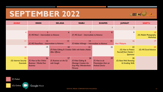#### **SEPTEMBER 2022**



| <b>AHAD</b>                                      | <b>ISNIN</b>                                                                    | <b>SELASA</b>                                                                        | <b>RABU</b>                                                                                          | <b>KHAMIS</b>                                                          | <b>JUMAAT</b>                                                        | <b>SABTU</b>                                          |
|--------------------------------------------------|---------------------------------------------------------------------------------|--------------------------------------------------------------------------------------|------------------------------------------------------------------------------------------------------|------------------------------------------------------------------------|----------------------------------------------------------------------|-------------------------------------------------------|
|                                                  |                                                                                 |                                                                                      |                                                                                                      |                                                                        |                                                                      |                                                       |
| $\overline{4}$                                   | (F) MS Word – Intermediate to Advance                                           | 6 <sup>1</sup>                                                                       | (F) MS Excel - Intermediate to Advance                                                               | 8                                                                      | 9                                                                    | $\overline{10}$<br>(O) Mobile Photography<br>Workshop |
| П                                                | 12<br>(F) MS PowerPoint - Intermediate to Advance                               | 13                                                                                   | 4<br>(F) Adobe InDesign - Intermediate to Advance                                                    | 15                                                                     | 16<br>Hari Malaysia                                                  | $\overline{17}$                                       |
| 8                                                | 9                                                                               | 20<br>(F) Video Editing & Creation Skills with Adobe (Adobe<br><b>After Effects)</b> | 21                                                                                                   | 22                                                                     | 23<br>(O) How to Protect<br>Yourself from Hacker /<br><b>Spammer</b> | 24<br>(O) MS Excel Advance                            |
| 25<br>(O) Internet Security<br><b>Essentials</b> | 26<br>(F) How to Run Online<br><b>Business / Market Your</b><br><b>Business</b> | 27<br>(F) Business on the Go<br>with Google                                          | 28<br>(F) Video Editing &<br><b>Montage Creation the</b><br><b>Easy Way (Wondershare</b><br>Filmora) | 29<br>$(F)$ How to do<br>Presentation from an<br><b>Android Device</b> | 30<br>(O) Basic Web Browsing<br>& Emailing Skills                    |                                                       |

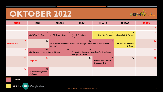#### **OKTOBER 2022**



| <b>AHAD</b>                | <b>ISNIN</b>                                 | <b>SELASA</b>          | <b>RABU</b>                                                                                | <b>KHAMIS</b>                                             | <b>JUMAAT</b>                                 | <b>SABTU</b> |
|----------------------------|----------------------------------------------|------------------------|--------------------------------------------------------------------------------------------|-----------------------------------------------------------|-----------------------------------------------|--------------|
|                            |                                              |                        |                                                                                            |                                                           |                                               |              |
| $\overline{2}$             | 3<br>$(F)$ MS Word – Basic                   | $(F)$ MS Excel – Basic | $(F)$ MS PowerPoint –<br><b>Basic</b>                                                      | ь                                                         | (O) Adobe Photoshop - Intermediate to Advance | 8            |
| 9<br><b>Maulidur Rasul</b> | 10                                           | Filmora)               | 12<br>(F) Advanced Multimedia Presentation Skills (MS PowerPoint & Wondershare             | 3                                                         | 4<br>(O) Business on the Go<br>with Google    | 15           |
| 16                         | 7<br>(F) MS Access - Intermediate to Advance | 8                      | 9<br>(F) Creating Brochures, Flyers, Greeting & Invitation<br><b>Skills (MS Publisher)</b> | 20                                                        | 21                                            | 22           |
| 23                         | 24<br>Deepavali                              | 25                     | 26                                                                                         | 27<br>(F) Photo Retouching &<br><b>Restoration Skills</b> | 28                                            | 29           |
| 30                         | 31<br>(F) Mobile Photography<br>Workshop     |                        |                                                                                            |                                                           |                                               |              |

(F) Fizikal

(O) Online **Google Meet**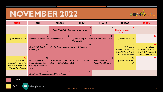#### **NOVEMBER 2022**



| <b>AHAD</b>                                                                                                               | <b>ISNIN</b>                                                                                                 | <b>SELASA</b>                                                                       | <b>RABU</b>                                                                  | <b>KHAMIS</b>                                                                                                            | <b>JUMAAT</b>                                                                                                              | <b>SABTU</b> |
|---------------------------------------------------------------------------------------------------------------------------|--------------------------------------------------------------------------------------------------------------|-------------------------------------------------------------------------------------|------------------------------------------------------------------------------|--------------------------------------------------------------------------------------------------------------------------|----------------------------------------------------------------------------------------------------------------------------|--------------|
|                                                                                                                           |                                                                                                              | $(F)$ Adobe Photoshop – Intermediate to Advance                                     |                                                                              | 3                                                                                                                        | Hari Keputeraan<br><b>Sultan Perak</b>                                                                                     |              |
| 6<br>(O) $MS$ Word – Basic                                                                                                | $(F)$ Adobe Illustrator – Intermediate to Advance                                                            | 8                                                                                   | q<br>(F) Video Editing & Creation Skills with Adobe (Adobe<br>After Effects) | $\overline{10}$                                                                                                          | (O) MS Excel - Basic                                                                                                       | $ 2\rangle$  |
| 13                                                                                                                        | 4<br>(F) Basic Web Browsing<br>& Emailing Skills                                                             | 7<br>15<br>16<br>(F) Web Design with Dreamweaver & Photoshop                        |                                                                              | 8<br>(O) Advanced<br><b>Multimedia Presentation</b><br><b>Skills (MS PowerPoint &amp;</b><br><b>Wondershare Filmora)</b> | -19<br>(O) Advanced<br><b>Multimedia Presentation</b><br><b>Skills (MS PowerPoint &amp;</b><br><b>Wondershare Filmora)</b> |              |
| 20<br>(O) Advanced<br><b>Multimedia Presentation</b><br><b>Skills (MS PowerPoint &amp;</b><br><b>Wondershare Filmora)</b> | 21<br>(O) Video Editing &<br><b>Montage Creation the</b><br><b>Easy Way (Wondershare</b><br><b>Filmora</b> ) | 22<br>(F) Engineering / Mechanical 3D (Product / Model<br>Design) - SOLIDWORKS 2010 | 23                                                                           | 24<br>$(F)$ How to Protect<br>Yourself from Hacker /<br><b>Spammer</b>                                                   | 25<br>(O) MS PowerPoint $-$<br><b>Basic</b>                                                                                | 26           |
| 27                                                                                                                        | 28<br>(F) Basic English Communication Skills for Adults                                                      | 29                                                                                  | 30                                                                           |                                                                                                                          |                                                                                                                            |              |

(F) Fizikal

(O) Online **Google Meet**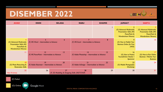#### **DISEMBER 2022**



| <b>AHAD</b>                                                                                              | <b>ISNIN</b>                                         | <b>SELASA</b>                                        | <b>RABU</b>                                        | <b>KHAMIS</b> | <b>JUMAAT</b>                                                                                            | <b>SABTU</b>                                                                                             |
|----------------------------------------------------------------------------------------------------------|------------------------------------------------------|------------------------------------------------------|----------------------------------------------------|---------------|----------------------------------------------------------------------------------------------------------|----------------------------------------------------------------------------------------------------------|
|                                                                                                          |                                                      |                                                      |                                                    |               | (O) Advanced Multimedia<br><b>Presentation Skills (MS</b><br>PowerPoint &<br><b>Wondershare Filmora)</b> | (O) Advanced Multimedia<br><b>Presentation Skills (MS</b><br>PowerPoint &<br><b>Wondershare Filmora)</b> |
| (O) Advanced Multimedia<br><b>Presentation Skills (MS</b><br>PowerPoint &<br><b>Wondershare Filmora)</b> | (F) MS Word – Intermediate to Advance                | 6                                                    | $(F)$ MS Excel – Intermediate to Advance           | 8             | (O) How to Publish Your<br><b>Business Online for Free</b><br>(WIX)                                      | $\overline{10}$                                                                                          |
| П                                                                                                        | 12<br>(F) MS PowerPoint - Intermediate to Advance    | 13                                                   | 4<br>(F) Adobe Photoshop - Intermediate to Advance | 15            | 16<br>(O) How to Protect<br><b>Yourself from Hacker /</b><br><b>Spammer</b>                              | -17<br>(O) How to Run Online<br><b>Business / Market Your</b><br><b>Business</b>                         |
| 18<br>(O) Photo Retouching &<br><b>Restoration Skills</b>                                                | 9<br>(F) Adobe Illustrator - Intermediate to Advance | 20                                                   | 21<br>(F) Adobe InDesign - Intermediate to Advance | 22            | 23<br>(O) Mobile Photography<br>Workshop                                                                 | 24                                                                                                       |
| 25<br>Hari Krismas                                                                                       | 26                                                   | 27<br>(F) 3D Modelling & Designing Skills (SKETCHUP) | 28                                                 | 29            | 30 <sup>°</sup>                                                                                          | 3 I                                                                                                      |

(F) Fizikal

(O) Online

**Google Meet**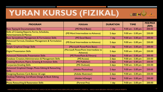## **YURAN KURSUS (FIZIKAL)**



| <b>PROGRAM</b>                                                                            | <b>PERISIAN</b>                                   | <b>DURATION</b> | <b>TIME</b>         | <b>FEE/PAX</b><br>(RM) |
|-------------------------------------------------------------------------------------------|---------------------------------------------------|-----------------|---------------------|------------------------|
| <b>Basic Typing &amp; Documentation Skills</b>                                            | (MS Word Basic)                                   | day             | $9.00$ am - 5.00 pm | 200.00                 |
| <b>Skills of Creating Reports, Forms, Schedules,</b><br><b>Advertisements &amp; Memos</b> | (MS Word Intermediate to Advance)                 | 2 days          | $9.00$ am - 5.00 pm | 250.00                 |
| <b>Basic Spreadsheet Management &amp; Formulation Skills</b>                              | (MS Excel Basic)                                  | I day           | $9.00$ am - 5.00 pm | 200.00                 |
| Advanced Formula, Database Management & Formulation<br><b>Skills</b>                      | (MS Excel Intermediate to Advance)                | 2 days          | $9.00$ am - 5.00 pm | 250.00                 |
| Simple Graphical Design Skills                                                            | (Microsoft PowerPoint Basic)                      | day             | $9.00$ am - 5.00 pm | 200.00                 |
| <b>Digital Presentation Skills</b>                                                        | (Microsoft PowerPoint Intermediate to<br>Advance) | 2 days          | $9.00$ am - 5.00 pm | 250.00                 |
| Advanced Multimedia Presentation Skills                                                   | (MS PowerPoint & Filmora)                         | 3 days          | $9.00$ am - 5.00 pm | 300.00                 |
| Database Creation, Administration & Management Skills                                     | (MS Access)                                       | 2 days          | $9.00$ am - 5.00 pm | 250.00                 |
| <b>Creating Brochure, Flyers, Greeting &amp; Invitation Skills</b>                        | (MS Publisher)                                    | 2 days          | $9.00$ am - 5.00 pm | 250.00                 |
| <b>Corporate Emailing Skills</b>                                                          | (MS Outlook)                                      | 2 days          | $9.00$ am - 5.00 pm | 250.00                 |
| Advanced Graphical Design, Photo Editing & Retouching<br><b>Skills</b>                    | (Adobe Photoshop)                                 | 2 days          | $9.00$ am - 5.00 pm | 250.00                 |
| Designing Business Card, Banner & Logo                                                    | (Adobe Illustrator)                               | 2 days          | $9.00$ am - 5.00 pm | 250.00                 |
| Desktop Publishing, Certificate Design, & Book Editing<br><b>Skills</b>                   | (Adobe InDesign)                                  | 2 days          | 9.00 am - 5.00 pm   | 250.00                 |
| <b>Photo Retouching &amp; Restoration Skills</b>                                          | (Portrait Pro)                                    | I day           | $9.00$ am - 5.00 pm | 200.00                 |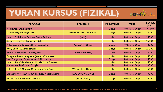## **YURAN KURSUS (FIZIKAL)**



| <b>PROGRAM</b>                                          | <b>PERISIAN</b>            | <b>DURATION</b>  | <b>TIME</b>         | <b>FEE/PAX</b><br>(RM) |
|---------------------------------------------------------|----------------------------|------------------|---------------------|------------------------|
| <b>Mobile Apps Development</b>                          |                            | 2 days           | $9.00$ am - 5.00 pm | 1,070.00               |
| <b>3D Modelling &amp; Design Skills</b>                 | (Sketchup 2015 / 2018 Pro) | 2 days           | 9.00 am - $5.00$ pm | 350.00                 |
| How to Publish Your Business Online for Free            | (WIX)                      | I day            | 9.00 am - 5.00 pm   | 250.00                 |
| Software Technical Maintenance Skills                   |                            | I day            | 9.00 am - $5.00$ pm | 250.00                 |
| <b>Video Editing &amp; Creation Skills with Adobe</b>   | (Adobe After Effects)      | 2 days           | $9.00$ am - 5.00 pm | 400.00                 |
| <b>MySQL Setup &amp; Administration</b>                 |                            | 2 days           | 9.00 am - $5.00$ pm | 250.00                 |
| <b>Basic Web Browsing &amp; Emailing Skills</b>         | (Internet Browser)         | I day            | $9.00$ am - 5.00 pm | 200.00                 |
| <b>Computer Networking Basic (Wired &amp; Wireless)</b> |                            | I day            | $9.00$ am - 5.00 pm | 250.00                 |
| Web Design with Dreamweaver & Photoshop                 |                            | 3 days           | 9.00 am - $5.00$ pm | 250.00                 |
| How to Run Online Business / Market Your Business       |                            | 1 day            | $9.00$ am - 5.00 pm | 250.00                 |
| <b>Business on the Go with Google</b>                   |                            | $\mathsf{I}$ day | $9.00$ am - 5.00 pm | 200.00                 |
| Video Editing & Montage Creation the Easy Way           | (Wondershare Filmora)      | I day            | $9.00$ am - 5.00 pm | 150.00                 |
| Engineering / Mechanical 3D (Product / Model Design)    | (SOLIDWORKS 2010)          | 2 days           | $9.00$ am - 5.00 pm | 400.00                 |
| <b>Wedding Photo &amp; Album Creation</b>               | (Wedding Pro)              | 2 days           | $9.00$ am - 5.00 pm | 250.00                 |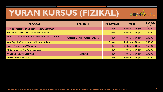## **YURAN KURSUS (FIZIKAL)**



| <b>PROGRAM</b>                                               | <b>PERISIAN</b>                   | <b>DURATION</b> | <b>TIME</b>         | <b>FEE/PAX</b><br>(RM) |
|--------------------------------------------------------------|-----------------------------------|-----------------|---------------------|------------------------|
| How to Protect Yourself from Hacker / Spammer                |                                   | l day           | $9.00$ am - 5.00 pm | 200.00                 |
| <b>Android Device Administration &amp; Protection</b>        |                                   | I day           | $9.00$ am - 5.00 pm | 200.00                 |
| How to do Presentation from Android Device Without<br>Laptop | (Android Device / Casting Device) | I day           | $9.00$ am - 5.00 pm | 200.00                 |
| <b>Basic English Communication Skills for Adults</b>         |                                   | 3 days          | $9.00$ am - 5.00 pm | 200.00                 |
| <b>Mobile Photography Workshop</b>                           |                                   | $\sqrt{day}$    | 9.00 am - $5.00$ pm | 250.00                 |
| MS Excel 2016 / 395 Advanced Level                           |                                   | I day           | $9.00$ am - 5.00 pm | 200.00                 |
| <b>Windows Security Essentials</b>                           | (Window)                          | day             | $9.00$ am - 5.00 pm | 200.00                 |
| <b>Internet Security Essentials</b>                          |                                   | day             | $9.00$ am - 5.00 pm | 200.00                 |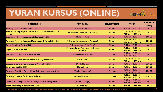## **YURAN KURSUS (ONLINE)**



| <b>PROGRAM</b>                                                                 | <b>PERISIAN</b>                                   | <b>DURATION</b> | <b>TIME</b>                                   | <b>FEE/PAX</b><br>(RM) |
|--------------------------------------------------------------------------------|---------------------------------------------------|-----------------|-----------------------------------------------|------------------------|
| <b>Basic Typing &amp; Documentation Skills</b>                                 | (MS Word Basic)                                   | 6 hours         | 9.00 $am - 5.00 pm$                           | 180.00                 |
| Skills of Creating Reports, Forms, Schedules, Advertisements &<br><b>Memos</b> | (MS Word Intermediate to Advance)                 | 9 hours         | 9.00 $am - 5.00 pm$<br>9.00 am $-$ 12.00 pm   | 230.00                 |
| Basic Spreadsheet Management & Formulation Skills                              | (MS Excel Basic)                                  | 6 hours         | $9.00$ am $-5.00$ pm                          | 180.00                 |
| Advanced Formula, Database Management & Formulation Skills                     | (MS Excel Intermediate to Advance)                | 9 hours         | 9.00 am $-$ 5.00 pm<br>9.00 am $-$ 12.00 pm   | 230.00                 |
| Simple Graphical Design Skills                                                 | (Microsoft PowerPoint Basic)                      | 6 hours         | 9.00 am $-$ 5.00 pm                           | 180.00                 |
| <b>Digital Presentation Skills</b>                                             | (Microsoft PowerPoint Intermediate to<br>Advance) | 9 hours         | 9.00 $am - 5.00 pm$<br>9.00 am $-$ 12.00 pm   | 230.00                 |
| <b>Advanced Multimedia Presentation Skills</b>                                 | (MS PowerPoint & Filmora)                         | 12 hours        | 9.00 am $-$ 5.00 pm<br>9.00 $am - 5.00 pm$    | 280.00                 |
| Database Creation, Administration & Management Skills                          | (MS Access)                                       | 9 hours         | 9.00 am $-$ 5.00 pm<br>$9.00$ am $-$ 12.00 pm | 230.00                 |
| <b>Creating Brochure, Flyers, Greeting &amp; Invitation Skills</b>             | (MS Publisher)                                    | 6 hours         | 9.00 am $-$ 5.00 pm                           | 230.00                 |
| <b>Corporate Emailing Skills</b>                                               | (MS Outlook)                                      | 6 hours         | $9.00$ am $-5.00$ pm                          | 230.00                 |
| Advanced Graphical Design, Photo Editing & Retouching Skills                   | (Adobe Photoshop)                                 | 12 hours        | 9.00 $am - 5.00 pm$<br>9.00 $am - 5.00 pm$    | 230.00                 |
| Designing Business Card, Banner & Logo                                         | (Adobe Illustrator)                               | 12 hours        | 9.00 $am - 5.00 pm$<br>9.00 am $-$ 5.00 pm    | 230.00                 |
| Desktop Publishing, Certificate Design, & Book Editing Skills                  | (Adobe InDesign)                                  | 9 hours         | 9.00 am $-$ 5.00 pm<br>9.00 am $-$ 12.00 pm   | 230.00                 |
| Photo Retouching & Restoration Skills                                          | (Portrait Pro)                                    | 3 hours         | 9.00 am $-$ 12.00 pm                          | 180.00                 |

HARGA KURSUS DI ATAS ADALAH MENGIKUT HARGA SECARA PENDAFTARAN BERKUMPULAN (MINIMUM 5 PESERTA). HARGA AKAN BERUBAH MENGIKUT JUMLAH PESERTA.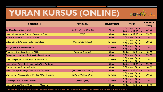## **YURAN KURSUS (ONLINE)**



| <b>PROGRAM</b>                                          | <b>PERISIAN</b>            | <b>DURATION</b> | <b>TIME</b>                                  | <b>FEE/PAX</b><br>(RM) |
|---------------------------------------------------------|----------------------------|-----------------|----------------------------------------------|------------------------|
| <b>3D Modelling &amp; Design Skills</b>                 | (Sketchup 2015 / 2018 Pro) | 9 hours         | 9.00 am $-$ 5.00 pm<br>9.00 am $-12.00$ pm   | 330.00                 |
| How to Publish Your Business Online for Free            | (W X)                      | 3 hours         | $9.00$ am $-12.00$ pm                        | 230.00                 |
| Software Technical Maintenance Skills                   |                            | 6 hours         | $9.00$ am $-5.00$ pm                         | 230.00                 |
| <b>Video Editing &amp; Creation Skills with Adobe</b>   | (Adobe After Effects)      | 12 hours        | 9.00 am $-$ 5.00 pm<br>$9.00$ am $-5.00$ pm  | 380.00                 |
| MySQL Setup & Administration                            |                            | 12 hours        | 9.00 am $-$ 5.00 pm<br>9.00 am $-$ 5.00 pm   | 230.00                 |
| <b>Basic Web Browsing &amp; Emailing Skills</b>         | (Internet Browser)         | 3 hours         | $9.00$ am $- 12.00$ pm                       | 180.00                 |
| <b>Computer Networking Basic (Wired &amp; Wireless)</b> |                            | 6 hours         | 9.00 $am - 5.00$ pm                          | 230.00                 |
| Web Design with Dreamweaver & Photoshop                 |                            | 12 hours        | 9.00 $am - 5.00$ pm<br>9.00 $am - 5.00$ pm   | 230.00                 |
| How to Run Online Business / Market Your Business       |                            | 3 hours         | 9.00 am $-$ 12.00 pm                         | 230.00                 |
| <b>Business on the Go with Google</b>                   |                            | 6 hours         | 9.00 am $-$ 5.00 pm                          | 180.00                 |
| Video Editing & Montage Creation the Easy Way           | (Wondershare Filmora)      | 3 hours         | $9.00$ am $-12.00$ pm                        | 150.00                 |
| Engineering / Mechanical 3D (Product / Model Design)    | (SOLIDWORKS 2010)          | 12 hours        | 9.00 am $-$ 5.00 pm<br>9.00 $am - 5.00 pm$   | 380.00                 |
| <b>Wedding Photo &amp; Album Creation</b>               | (Wedding Pro)              | 12 hours        | $9.00$ am $-5.00$ pm<br>$9.00$ am $-5.00$ pm | 230.00                 |
| How to Protect Yourself from Hacker / Spammer           |                            | 3 hours         | $9.00$ am $-12.00$ pm                        | 180.00                 |

HARGA KURSUS DI ATAS ADALAH MENGIKUT HARGA SECARA PENDAFTARAN BERKUMPULAN (MINIMUM 5 PESERTA). HARGA AKAN BERUBAH MENGIKUT JUMLAH PESERTA.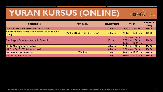## **YURAN KURSUS (ONLINE)**



| <b>PROGRAM</b>                                               | <b>PERISIAN</b>                   | <b>DURATION</b> | <b>TIME</b>                                                                            | <b>FEE/PAX</b><br>(RM) |
|--------------------------------------------------------------|-----------------------------------|-----------------|----------------------------------------------------------------------------------------|------------------------|
| <b>Android Device Administration &amp; Protection</b>        |                                   | 3 hours         | 9.00 am $-$ 12.00 pm                                                                   | 180.00                 |
| How to do Presentation from Android Device Without<br>Laptop | (Android Device / Casting Device) | 3 hours         | $ 9.00 \text{ am} - 12.00 \text{ pm} $                                                 | 180.00                 |
| <b>Basic English Communication Skills for Adults</b>         |                                   | 15 hours        | $9.00$ am $-5.00$ pm<br>$9.00$ am $-5.00$ pm<br>$ 9.00 \text{ am} - 12.00 \text{ pm} $ | 180.00                 |
| <b>Mobile Photography Workshop</b>                           |                                   | 6 hours         | 9.00 am $-$ 5.00 pm                                                                    | 230.00                 |
| MS Excel 2016 / 395 Advanced Level                           |                                   | 6 hours         | 9.00 am $-$ 5.00 pm                                                                    | 180.00                 |
| <b>Windows Security Essentials</b>                           | (Window)                          | 3 hours         | $ 9.00 \text{ am} - 12.00 \text{ pm} $                                                 | 180.00                 |
| <b>Internet Security Essentials</b>                          |                                   | 3 hours         | 9.00 am – 12.00 pm                                                                     | 180.00                 |